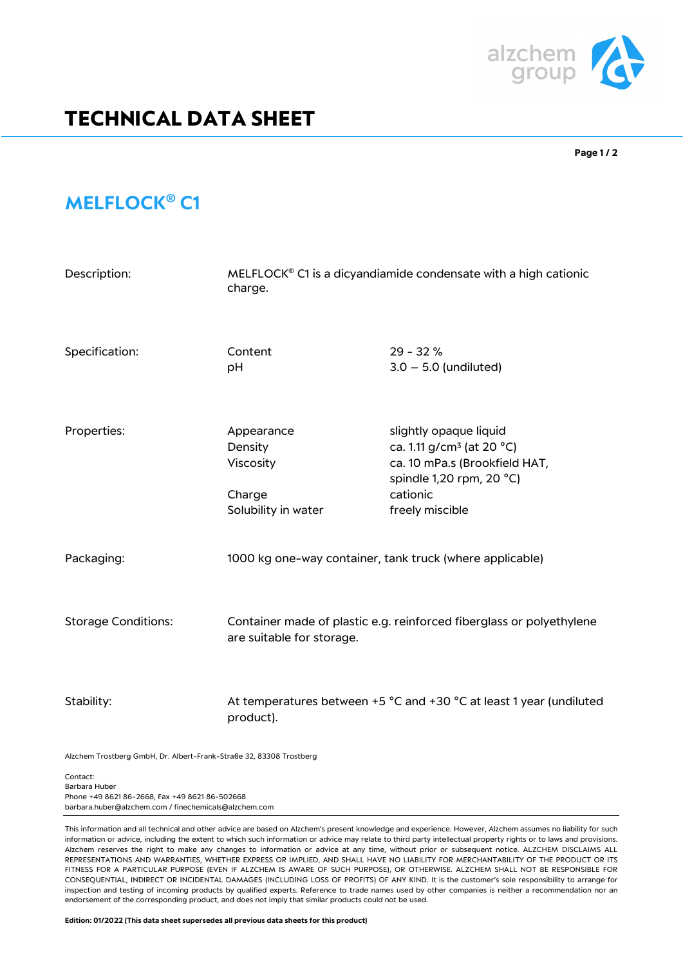

## **TECHNICAL DATA SHEET**

**Page 1 / 2**

## **MELFLOCK® C1**

| Description:               | MELFLOCK <sup>®</sup> C1 is a dicyandiamide condensate with a high cationic<br>charge.            |                                                                                                                                                             |
|----------------------------|---------------------------------------------------------------------------------------------------|-------------------------------------------------------------------------------------------------------------------------------------------------------------|
| Specification:             | Content<br>pH                                                                                     | $29 - 32%$<br>$3.0 - 5.0$ (undiluted)                                                                                                                       |
| Properties:                | Appearance<br>Density<br>Viscosity<br>Charge<br>Solubility in water                               | slightly opaque liquid<br>ca. 1.11 g/cm <sup>3</sup> (at 20 °C)<br>ca. 10 mPa.s (Brookfield HAT,<br>spindle 1,20 rpm, 20 °C)<br>cationic<br>freely miscible |
| Packaging:                 | 1000 kg one-way container, tank truck (where applicable)                                          |                                                                                                                                                             |
| <b>Storage Conditions:</b> | Container made of plastic e.g. reinforced fiberglass or polyethylene<br>are suitable for storage. |                                                                                                                                                             |
| Stability:                 | At temperatures between +5 °C and +30 °C at least 1 year (undiluted<br>product).                  |                                                                                                                                                             |

Alzchem Trostberg GmbH, Dr. Albert-Frank-Straße 32, 83308 Trostberg

Contact: Barbara Huber Phone +49 8621 86-2668, Fax +49 8621 86-502668 barbara.huber@alzchem.com / finechemicals@alzchem.com

This information and all technical and other advice are based on Alzchem's present knowledge and experience. However, Alzchem assumes no liability for such information or advice, including the extent to which such information or advice may relate to third party intellectual property rights or to laws and provisions. Alzchem reserves the right to make any changes to information or advice at any time, without prior or subsequent notice. ALZCHEM DISCLAIMS ALL REPRESENTATIONS AND WARRANTIES, WHETHER EXPRESS OR IMPLIED, AND SHALL HAVE NO LIABILITY FOR MERCHANTABILITY OF THE PRODUCT OR ITS FITNESS FOR A PARTICULAR PURPOSE (EVEN IF ALZCHEM IS AWARE OF SUCH PURPOSE), OR OTHERWISE. ALZCHEM SHALL NOT BE RESPONSIBLE FOR CONSEQUENTIAL, INDIRECT OR INCIDENTAL DAMAGES (INCLUDING LOSS OF PROFITS) OF ANY KIND. It is the customer's sole responsibility to arrange for inspection and testing of incoming products by qualified experts. Reference to trade names used by other companies is neither a recommendation nor an endorsement of the corresponding product, and does not imply that similar products could not be used.

**Edition: 01/2022 (This data sheet supersedes all previous data sheets for this product)**